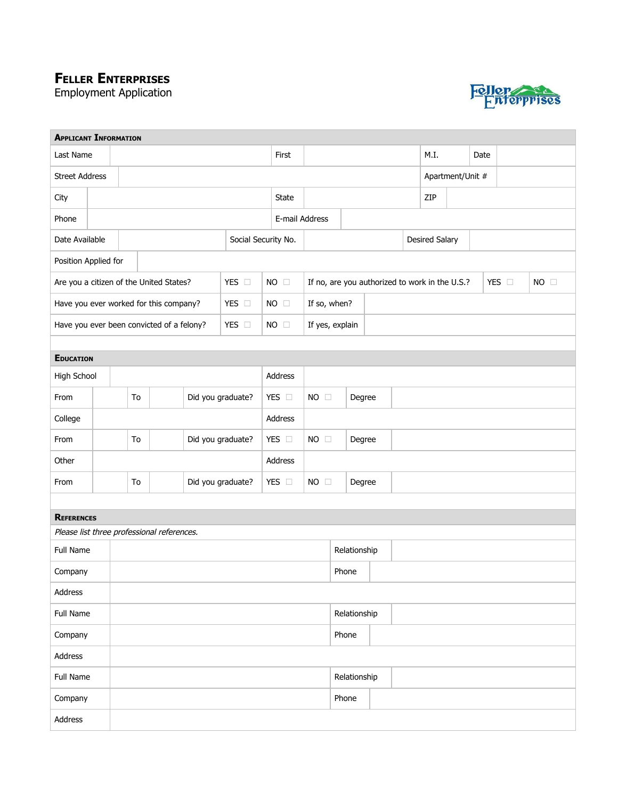## **FELLER ENTERPRISES**

Employment Application



| <b>APPLICANT INFORMATION</b>               |  |                                           |                                                  |       |                   |                |                          |                 |                |                                                |                  |  |                |  |  |       |                |  |
|--------------------------------------------|--|-------------------------------------------|--------------------------------------------------|-------|-------------------|----------------|--------------------------|-----------------|----------------|------------------------------------------------|------------------|--|----------------|--|--|-------|----------------|--|
| Last Name                                  |  |                                           |                                                  | First |                   |                |                          |                 | M.I.           |                                                | Date             |  |                |  |  |       |                |  |
| <b>Street Address</b>                      |  |                                           |                                                  |       |                   |                |                          |                 |                |                                                | Apartment/Unit # |  |                |  |  |       |                |  |
| City                                       |  |                                           |                                                  |       |                   |                |                          |                 |                |                                                | ZIP              |  |                |  |  |       |                |  |
| Phone                                      |  |                                           |                                                  |       |                   |                |                          |                 | E-mail Address |                                                |                  |  |                |  |  |       |                |  |
| Date Available                             |  |                                           |                                                  |       |                   |                | Social Security No.      |                 |                |                                                |                  |  | Desired Salary |  |  |       |                |  |
| Position Applied for                       |  |                                           |                                                  |       |                   |                |                          |                 |                |                                                |                  |  |                |  |  |       |                |  |
|                                            |  |                                           | Are you a citizen of the United States?<br>YES O |       |                   |                |                          | $NO$ $\square$  |                | If no, are you authorized to work in the U.S.? |                  |  |                |  |  | YES O | $NO$ $\square$ |  |
|                                            |  | Have you ever worked for this company?    |                                                  |       | YES O             |                | $NO \square$             | If so, when?    |                |                                                |                  |  |                |  |  |       |                |  |
|                                            |  | Have you ever been convicted of a felony? |                                                  |       | YES O             |                | $NO$ $\square$           | If yes, explain |                |                                                |                  |  |                |  |  |       |                |  |
|                                            |  |                                           |                                                  |       |                   |                |                          |                 |                |                                                |                  |  |                |  |  |       |                |  |
| <b>EDUCATION</b>                           |  |                                           |                                                  |       |                   |                |                          |                 |                |                                                |                  |  |                |  |  |       |                |  |
| High School                                |  |                                           |                                                  |       |                   |                |                          | Address         |                |                                                |                  |  |                |  |  |       |                |  |
| From                                       |  |                                           | To                                               |       | Did you graduate? |                |                          | YES O           | $NO$ $\square$ | Degree                                         |                  |  |                |  |  |       |                |  |
| College                                    |  |                                           |                                                  |       |                   |                | Address                  |                 |                |                                                |                  |  |                |  |  |       |                |  |
| From                                       |  | Did you graduate?<br>To                   |                                                  |       | YES O             | $NO$ $\square$ | Degree                   |                 |                |                                                |                  |  |                |  |  |       |                |  |
| Other                                      |  |                                           |                                                  |       | Address           |                |                          |                 |                |                                                |                  |  |                |  |  |       |                |  |
| From                                       |  |                                           | Did you graduate?<br>To                          |       |                   | YES O          | $NO$ $\square$<br>Degree |                 |                |                                                |                  |  |                |  |  |       |                |  |
|                                            |  |                                           |                                                  |       |                   |                |                          |                 |                |                                                |                  |  |                |  |  |       |                |  |
| <b>REFERENCES</b>                          |  |                                           |                                                  |       |                   |                |                          |                 |                |                                                |                  |  |                |  |  |       |                |  |
| Please list three professional references. |  |                                           |                                                  |       |                   |                |                          |                 |                |                                                |                  |  |                |  |  |       |                |  |
| Full Name                                  |  |                                           |                                                  |       |                   |                |                          | Relationship    |                |                                                |                  |  |                |  |  |       |                |  |
| Company                                    |  |                                           |                                                  |       |                   |                |                          |                 |                |                                                | Phone            |  |                |  |  |       |                |  |
| Address                                    |  |                                           |                                                  |       |                   |                |                          |                 |                |                                                |                  |  |                |  |  |       |                |  |
| Full Name                                  |  |                                           |                                                  |       |                   | Relationship   |                          |                 |                |                                                |                  |  |                |  |  |       |                |  |
| Company                                    |  |                                           |                                                  | Phone |                   |                |                          |                 |                |                                                |                  |  |                |  |  |       |                |  |
| Address                                    |  |                                           |                                                  |       |                   |                |                          |                 |                |                                                |                  |  |                |  |  |       |                |  |
| Full Name                                  |  |                                           |                                                  |       |                   |                |                          |                 |                | Relationship                                   |                  |  |                |  |  |       |                |  |
| Company                                    |  |                                           |                                                  |       |                   |                | Phone                    |                 |                |                                                |                  |  |                |  |  |       |                |  |
| Address                                    |  |                                           |                                                  |       |                   |                |                          |                 |                |                                                |                  |  |                |  |  |       |                |  |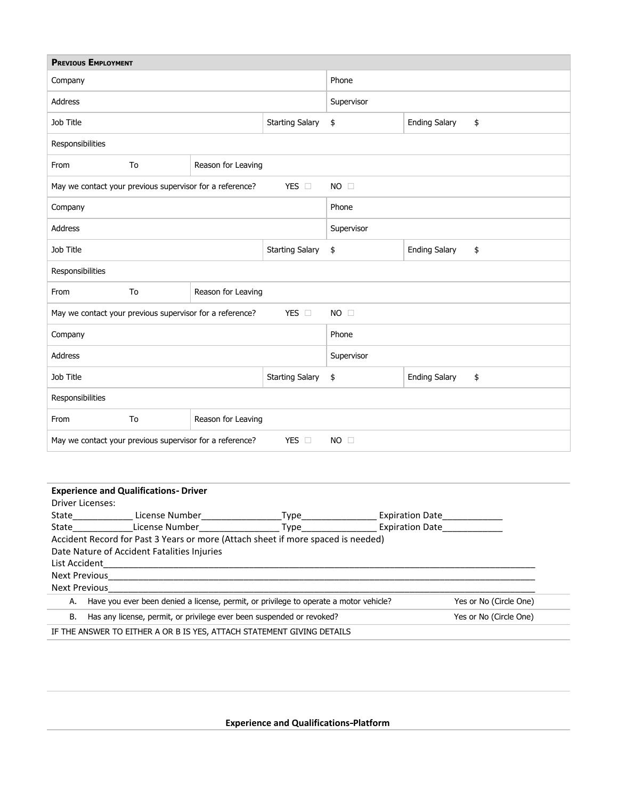| <b>PREVIOUS EMPLOYMENT</b>                                                                                                      |                                                                                  |                                                                       |                        |            |                            |                        |  |  |  |
|---------------------------------------------------------------------------------------------------------------------------------|----------------------------------------------------------------------------------|-----------------------------------------------------------------------|------------------------|------------|----------------------------|------------------------|--|--|--|
| Company                                                                                                                         |                                                                                  |                                                                       | Phone                  |            |                            |                        |  |  |  |
| Address                                                                                                                         |                                                                                  |                                                                       | Supervisor             |            |                            |                        |  |  |  |
| Job Title                                                                                                                       |                                                                                  |                                                                       | <b>Starting Salary</b> | \$         | <b>Ending Salary</b>       | \$                     |  |  |  |
| Responsibilities                                                                                                                |                                                                                  |                                                                       |                        |            |                            |                        |  |  |  |
| From                                                                                                                            | To                                                                               | Reason for Leaving                                                    |                        |            |                            |                        |  |  |  |
| YES O<br>May we contact your previous supervisor for a reference?<br>$NO$ $\Box$                                                |                                                                                  |                                                                       |                        |            |                            |                        |  |  |  |
| Company                                                                                                                         |                                                                                  |                                                                       |                        | Phone      |                            |                        |  |  |  |
| Address                                                                                                                         |                                                                                  |                                                                       |                        | Supervisor |                            |                        |  |  |  |
| Job Title                                                                                                                       |                                                                                  |                                                                       |                        | \$         | <b>Ending Salary</b>       | \$                     |  |  |  |
| Responsibilities                                                                                                                |                                                                                  |                                                                       |                        |            |                            |                        |  |  |  |
| From                                                                                                                            | To                                                                               | Reason for Leaving                                                    |                        |            |                            |                        |  |  |  |
|                                                                                                                                 | May we contact your previous supervisor for a reference?<br>YES O<br>$NO$ $\Box$ |                                                                       |                        |            |                            |                        |  |  |  |
| Company<br>Phone                                                                                                                |                                                                                  |                                                                       |                        |            |                            |                        |  |  |  |
| Address<br>Supervisor                                                                                                           |                                                                                  |                                                                       |                        |            |                            |                        |  |  |  |
| Job Title                                                                                                                       |                                                                                  |                                                                       | <b>Starting Salary</b> | \$         | <b>Ending Salary</b><br>\$ |                        |  |  |  |
| Responsibilities                                                                                                                |                                                                                  |                                                                       |                        |            |                            |                        |  |  |  |
| From                                                                                                                            | To                                                                               | Reason for Leaving                                                    |                        |            |                            |                        |  |  |  |
| YES O<br>May we contact your previous supervisor for a reference?<br>$NO \square$                                               |                                                                                  |                                                                       |                        |            |                            |                        |  |  |  |
|                                                                                                                                 |                                                                                  |                                                                       |                        |            |                            |                        |  |  |  |
| <b>Experience and Qualifications- Driver</b>                                                                                    |                                                                                  |                                                                       |                        |            |                            |                        |  |  |  |
| Driver Licenses:                                                                                                                |                                                                                  |                                                                       |                        |            |                            |                        |  |  |  |
|                                                                                                                                 |                                                                                  |                                                                       |                        |            |                            |                        |  |  |  |
|                                                                                                                                 |                                                                                  |                                                                       |                        |            |                            |                        |  |  |  |
| Accident Record for Past 3 Years or more (Attach sheet if more spaced is needed)<br>Date Nature of Accident Fatalities Injuries |                                                                                  |                                                                       |                        |            |                            |                        |  |  |  |
| List Accident<br><u> 1989 - Andrea Andrew Maria (h. 1989).</u>                                                                  |                                                                                  |                                                                       |                        |            |                            |                        |  |  |  |
|                                                                                                                                 |                                                                                  |                                                                       |                        |            |                            |                        |  |  |  |
| Next Previous                                                                                                                   |                                                                                  |                                                                       |                        |            |                            |                        |  |  |  |
| Have you ever been denied a license, permit, or privilege to operate a motor vehicle?<br>Yes or No (Circle One)<br>А.           |                                                                                  |                                                                       |                        |            |                            |                        |  |  |  |
| В.                                                                                                                              |                                                                                  | Has any license, permit, or privilege ever been suspended or revoked? |                        |            |                            | Yes or No (Circle One) |  |  |  |

IF THE ANSWER TO EITHER A OR B IS YES, ATTACH STATEMENT GIVING DETAILS